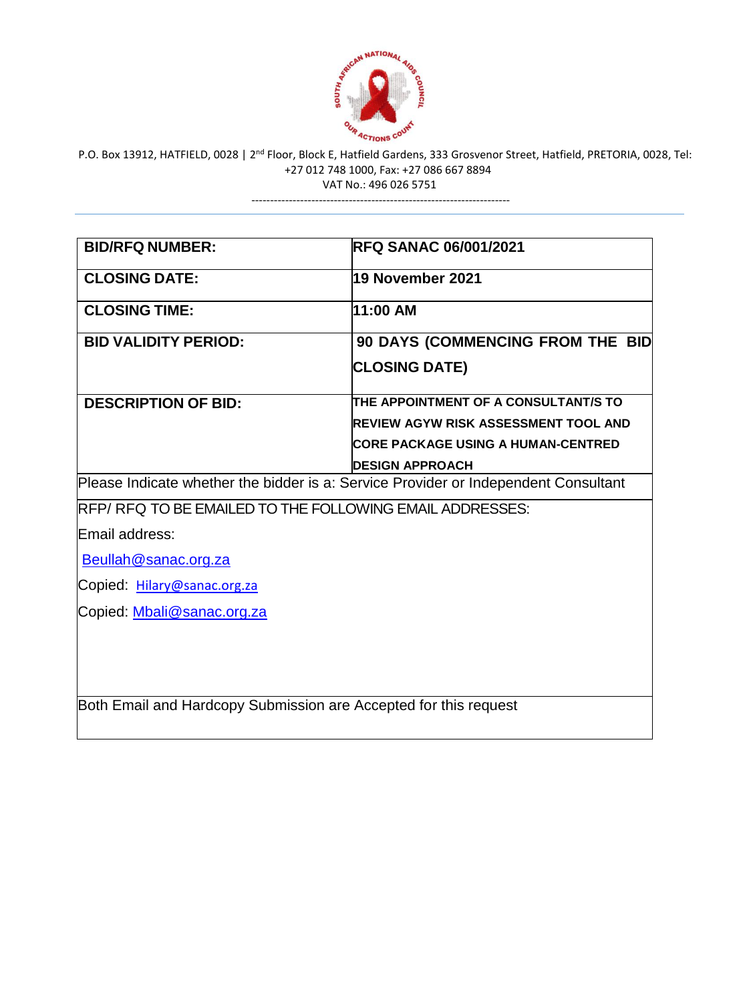

---------------------------------------------------------------------

| <b>BID/RFQ NUMBER:</b>                                                              | <b>RFQ SANAC 06/001/2021</b>                |
|-------------------------------------------------------------------------------------|---------------------------------------------|
| <b>CLOSING DATE:</b>                                                                | 19 November 2021                            |
| <b>CLOSING TIME:</b>                                                                | 11:00 AM                                    |
| <b>BID VALIDITY PERIOD:</b>                                                         | 90 DAYS (COMMENCING FROM THE BID            |
|                                                                                     | <b>CLOSING DATE)</b>                        |
| <b>DESCRIPTION OF BID:</b>                                                          | THE APPOINTMENT OF A CONSULTANT/S TO        |
|                                                                                     | <b>REVIEW AGYW RISK ASSESSMENT TOOL AND</b> |
|                                                                                     | <b>CORE PACKAGE USING A HUMAN-CENTRED</b>   |
|                                                                                     | <b>DESIGN APPROACH</b>                      |
| Please Indicate whether the bidder is a: Service Provider or Independent Consultant |                                             |
| RFP/RFQ TO BE EMAILED TO THE FOLLOWING EMAIL ADDRESSES:                             |                                             |
| Email address:                                                                      |                                             |
| Beullah@sanac.org.za                                                                |                                             |
| Copied: Hilary@sanac.org.za                                                         |                                             |
| Copied: Mbali@sanac.org.za                                                          |                                             |
|                                                                                     |                                             |
|                                                                                     |                                             |
|                                                                                     |                                             |
| Both Email and Hardcopy Submission are Accepted for this request                    |                                             |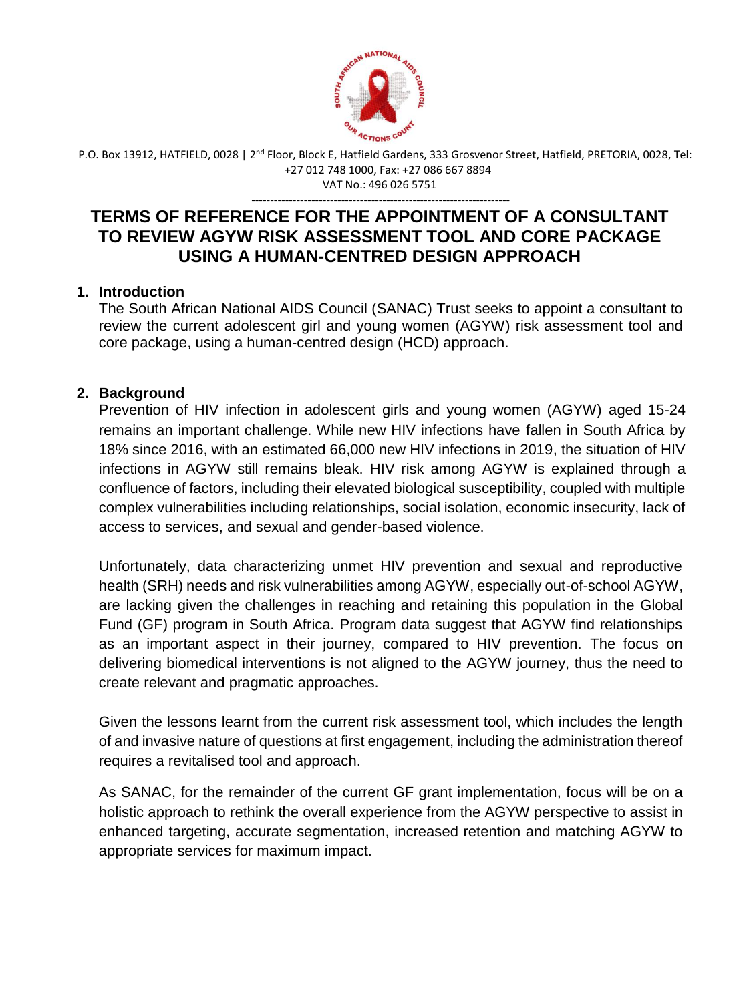

---------------------------------------------------------------------

## **TERMS OF REFERENCE FOR THE APPOINTMENT OF A CONSULTANT TO REVIEW AGYW RISK ASSESSMENT TOOL AND CORE PACKAGE USING A HUMAN-CENTRED DESIGN APPROACH**

#### **1. Introduction**

The South African National AIDS Council (SANAC) Trust seeks to appoint a consultant to review the current adolescent girl and young women (AGYW) risk assessment tool and core package, using a human-centred design (HCD) approach.

## **2. Background**

Prevention of HIV infection in adolescent girls and young women (AGYW) aged 15-24 remains an important challenge. While new HIV infections have fallen in South Africa by 18% since 2016, with an estimated 66,000 new HIV infections in 2019, the situation of HIV infections in AGYW still remains bleak. HIV risk among AGYW is explained through a confluence of factors, including their elevated biological susceptibility, coupled with multiple complex vulnerabilities including relationships, social isolation, economic insecurity, lack of access to services, and sexual and gender-based violence.

Unfortunately, data characterizing unmet HIV prevention and sexual and reproductive health (SRH) needs and risk vulnerabilities among AGYW, especially out-of-school AGYW, are lacking given the challenges in reaching and retaining this population in the Global Fund (GF) program in South Africa. Program data suggest that AGYW find relationships as an important aspect in their journey, compared to HIV prevention. The focus on delivering biomedical interventions is not aligned to the AGYW journey, thus the need to create relevant and pragmatic approaches.

Given the lessons learnt from the current risk assessment tool, which includes the length of and invasive nature of questions at first engagement, including the administration thereof requires a revitalised tool and approach.

As SANAC, for the remainder of the current GF grant implementation, focus will be on a holistic approach to rethink the overall experience from the AGYW perspective to assist in enhanced targeting, accurate segmentation, increased retention and matching AGYW to appropriate services for maximum impact.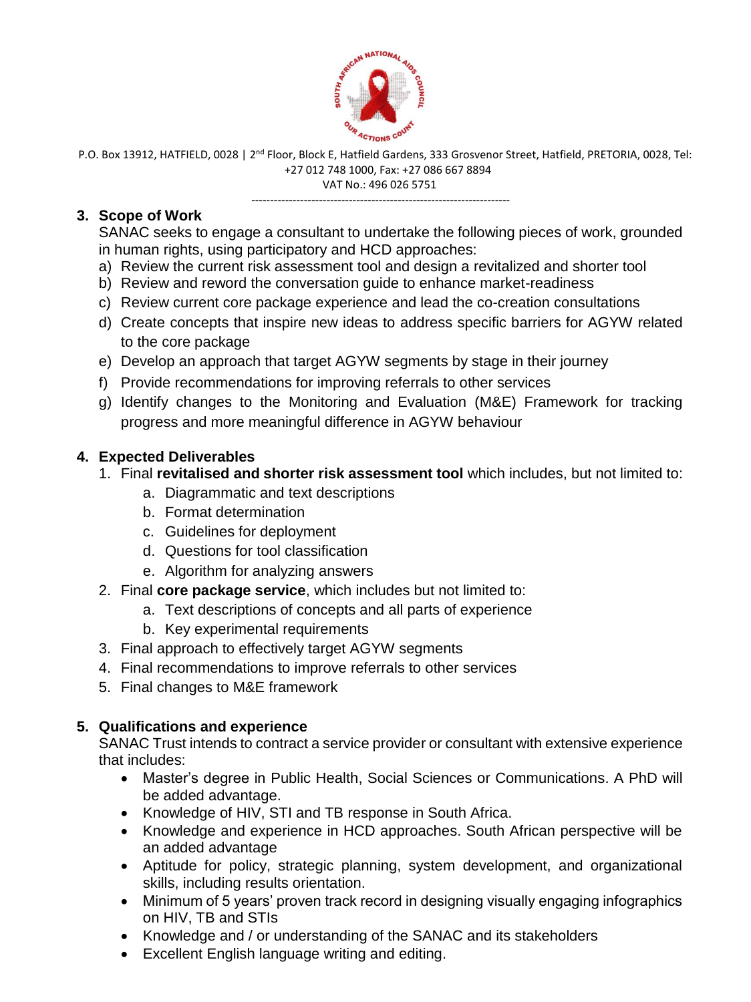

VAT No.: 496 026 5751 ---------------------------------------------------------------------

## **3. Scope of Work**

SANAC seeks to engage a consultant to undertake the following pieces of work, grounded in human rights, using participatory and HCD approaches:

- a) Review the current risk assessment tool and design a revitalized and shorter tool
- b) Review and reword the conversation guide to enhance market-readiness
- c) Review current core package experience and lead the co-creation consultations
- d) Create concepts that inspire new ideas to address specific barriers for AGYW related to the core package
- e) Develop an approach that target AGYW segments by stage in their journey
- f) Provide recommendations for improving referrals to other services
- g) Identify changes to the Monitoring and Evaluation (M&E) Framework for tracking progress and more meaningful difference in AGYW behaviour

# **4. Expected Deliverables**

- 1. Final **revitalised and shorter risk assessment tool** which includes, but not limited to:
	- a. Diagrammatic and text descriptions
	- b. Format determination
	- c. Guidelines for deployment
	- d. Questions for tool classification
	- e. Algorithm for analyzing answers
- 2. Final **core package service**, which includes but not limited to:
	- a. Text descriptions of concepts and all parts of experience
	- b. Key experimental requirements
- 3. Final approach to effectively target AGYW segments
- 4. Final recommendations to improve referrals to other services
- 5. Final changes to M&E framework

# **5. Qualifications and experience**

SANAC Trust intends to contract a service provider or consultant with extensive experience that includes:

- Master's degree in Public Health, Social Sciences or Communications. A PhD will be added advantage.
- Knowledge of HIV, STI and TB response in South Africa.
- Knowledge and experience in HCD approaches. South African perspective will be an added advantage
- Aptitude for policy, strategic planning, system development, and organizational skills, including results orientation.
- Minimum of 5 years' proven track record in designing visually engaging infographics on HIV, TB and STIs
- Knowledge and / or understanding of the SANAC and its stakeholders
- Excellent English language writing and editing.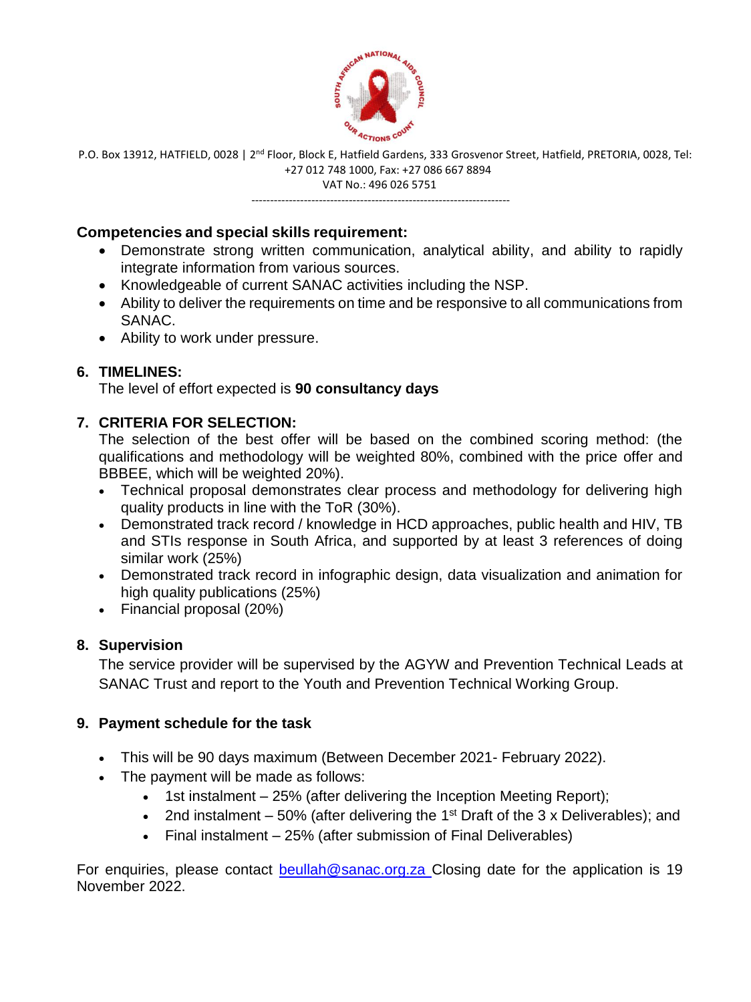

---------------------------------------------------------------------

#### **Competencies and special skills requirement:**

- Demonstrate strong written communication, analytical ability, and ability to rapidly integrate information from various sources.
- Knowledgeable of current SANAC activities including the NSP.
- Ability to deliver the requirements on time and be responsive to all communications from SANAC.
- Ability to work under pressure.

## **6. TIMELINES:**

The level of effort expected is **90 consultancy days**

## **7. CRITERIA FOR SELECTION:**

The selection of the best offer will be based on the combined scoring method: (the qualifications and methodology will be weighted 80%, combined with the price offer and BBBEE, which will be weighted 20%).

- Technical proposal demonstrates clear process and methodology for delivering high quality products in line with the ToR (30%).
- Demonstrated track record / knowledge in HCD approaches, public health and HIV, TB and STIs response in South Africa, and supported by at least 3 references of doing similar work (25%)
- Demonstrated track record in infographic design, data visualization and animation for high quality publications (25%)
- Financial proposal (20%)

## **8. Supervision**

The service provider will be supervised by the AGYW and Prevention Technical Leads at SANAC Trust and report to the Youth and Prevention Technical Working Group.

#### **9. Payment schedule for the task**

- This will be 90 days maximum (Between December 2021- February 2022).
- The payment will be made as follows:
	- $\bullet$  1st instalment  $-25%$  (after delivering the Inception Meeting Report);
	- 2nd instalment  $-50\%$  (after delivering the 1<sup>st</sup> Draft of the 3 x Deliverables); and
	- Final instalment 25% (after submission of Final Deliverables)

For enquiries, please contact [beullah@sanac.org.za](mailto:lifutso@sanac.org.za) Closing date for the application is 19 November 2022.